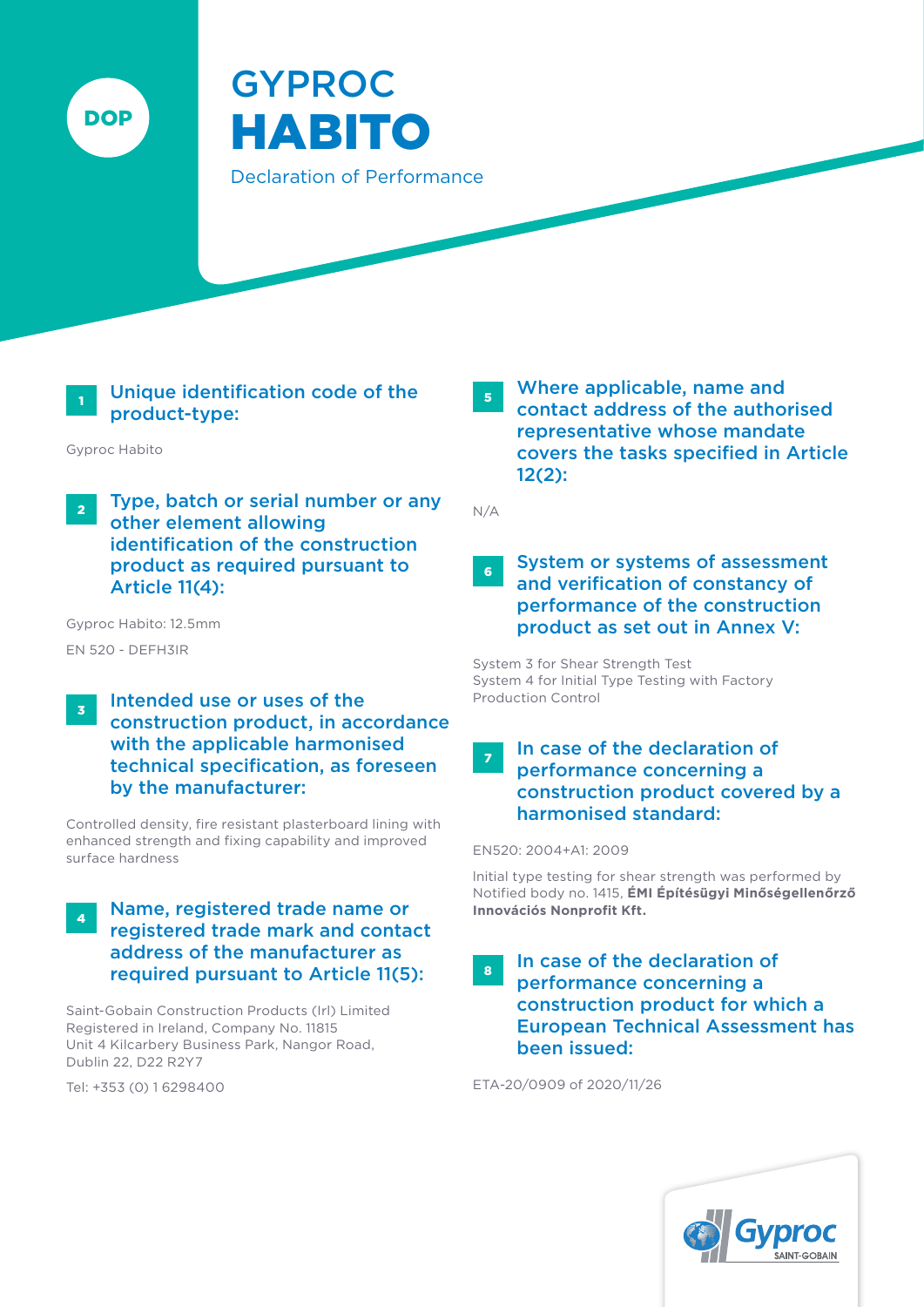

# GYPROC HABITO Declaration of Performance

# Unique identification code of the product-type:

Gyproc Habito

**2** Type, batch or serial number or any other element allowing identification of the construction product as required pursuant to Article 11(4):

Gyproc Habito: 12.5mm

- EN 520 DEFH3IR
- $\frac{1}{3}$  Intended use or uses of the construction product, in accordance with the applicable harmonised technical specification, as foreseen by the manufacturer:

Controlled density, fire resistant plasterboard lining with enhanced strength and fixing capability and improved surface hardness

#### 4 Name, registered trade name or registered trade mark and contact address of the manufacturer as required pursuant to Article 11(5):

Saint-Gobain Construction Products (Irl) Limited Registered in Ireland, Company No. 11815 Unit 4 Kilcarbery Business Park, Nangor Road, Dublin 22, D22 R2Y7

Tel: +353 (0) 1 6298400

5 Where applicable, name and contact address of the authorised representative whose mandate covers the tasks specified in Article 12(2):

N/A

#### **6** System or systems of assessment and verification of constancy of performance of the construction product as set out in Annex V:

System 3 for Shear Strength Test System 4 for Initial Type Testing with Factory Production Control

# 7 In case of the declaration of performance concerning a construction product covered by a harmonised standard:

EN520: 2004+A1: 2009

lnitial type testing for shear strength was performed by Notified body no. 1415, **ÉMI Építésügyi Minőségellenőrző Innovációs Nonprofit Kft.**

#### 8 In case of the declaration of performance concerning a construction product for which a European Technical Assessment has been issued:

ETA-20/0909 of 2020/11/26